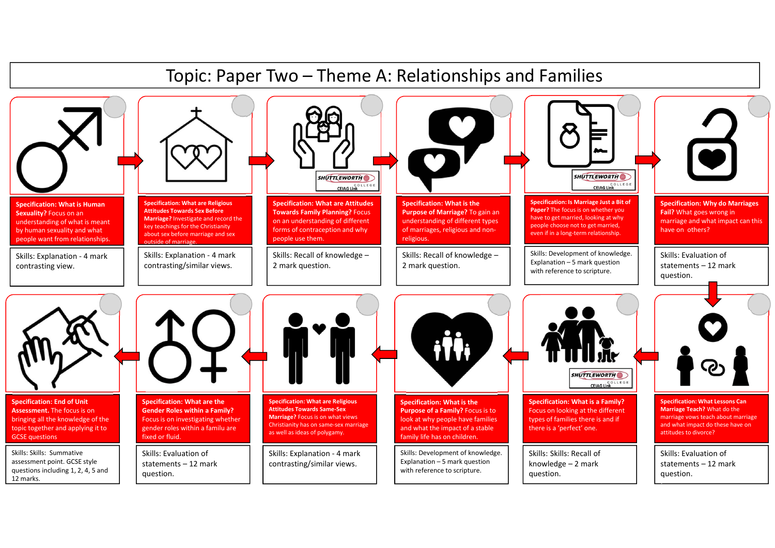